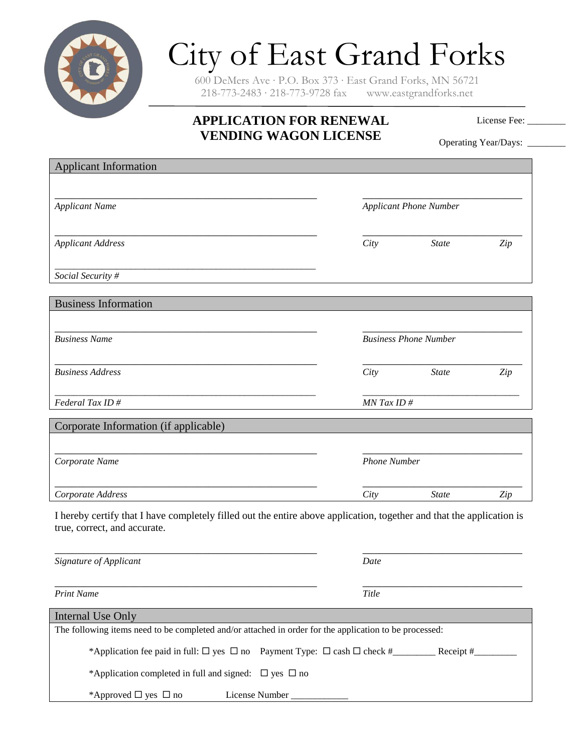

## City of East Grand Forks

600 DeMers Ave ∙ P.O. Box 373 ∙ East Grand Forks, MN 56721 218-773-2483 ∙ 218-773-9728 fax www.eastgrandforks.net

## **APPLICATION FOR RENEWAL VENDING WAGON LICENSE**

License Fee:

Operating Year/Days: \_\_\_\_\_\_\_\_

| <b>Applicant Information</b>                                                                                                                          |                               |                              |     |  |
|-------------------------------------------------------------------------------------------------------------------------------------------------------|-------------------------------|------------------------------|-----|--|
|                                                                                                                                                       |                               |                              |     |  |
|                                                                                                                                                       |                               |                              |     |  |
| <b>Applicant Name</b>                                                                                                                                 | <b>Applicant Phone Number</b> |                              |     |  |
|                                                                                                                                                       |                               |                              |     |  |
| <b>Applicant Address</b>                                                                                                                              | City                          | <b>State</b>                 | Zip |  |
|                                                                                                                                                       |                               |                              |     |  |
| Social Security #                                                                                                                                     |                               |                              |     |  |
|                                                                                                                                                       |                               |                              |     |  |
| <b>Business Information</b>                                                                                                                           |                               |                              |     |  |
|                                                                                                                                                       |                               |                              |     |  |
| <b>Business Name</b>                                                                                                                                  |                               | <b>Business Phone Number</b> |     |  |
|                                                                                                                                                       |                               |                              |     |  |
| <b>Business Address</b>                                                                                                                               | City                          | <b>State</b>                 | Zip |  |
|                                                                                                                                                       |                               |                              |     |  |
| Federal Tax ID#                                                                                                                                       | MN Tax ID#                    |                              |     |  |
|                                                                                                                                                       |                               |                              |     |  |
| Corporate Information (if applicable)                                                                                                                 |                               |                              |     |  |
|                                                                                                                                                       |                               |                              |     |  |
| Corporate Name                                                                                                                                        | <b>Phone Number</b>           |                              |     |  |
|                                                                                                                                                       |                               |                              |     |  |
| Corporate Address                                                                                                                                     | City                          | <b>State</b>                 | Zip |  |
|                                                                                                                                                       |                               |                              |     |  |
| I hereby certify that I have completely filled out the entire above application, together and that the application is<br>true, correct, and accurate. |                               |                              |     |  |
|                                                                                                                                                       |                               |                              |     |  |
|                                                                                                                                                       |                               |                              |     |  |
| Signature of Applicant                                                                                                                                | Date                          |                              |     |  |
|                                                                                                                                                       |                               |                              |     |  |
| <b>Print Name</b>                                                                                                                                     | Title                         |                              |     |  |
| <b>Internal Use Only</b>                                                                                                                              |                               |                              |     |  |
| The following items need to be completed and/or attached in order for the application to be processed:                                                |                               |                              |     |  |
|                                                                                                                                                       |                               |                              |     |  |
| *Application completed in full and signed: $\square$ yes $\square$ no                                                                                 |                               |                              |     |  |
| *Approved $\Box$ yes $\Box$ no<br>License Number                                                                                                      |                               |                              |     |  |